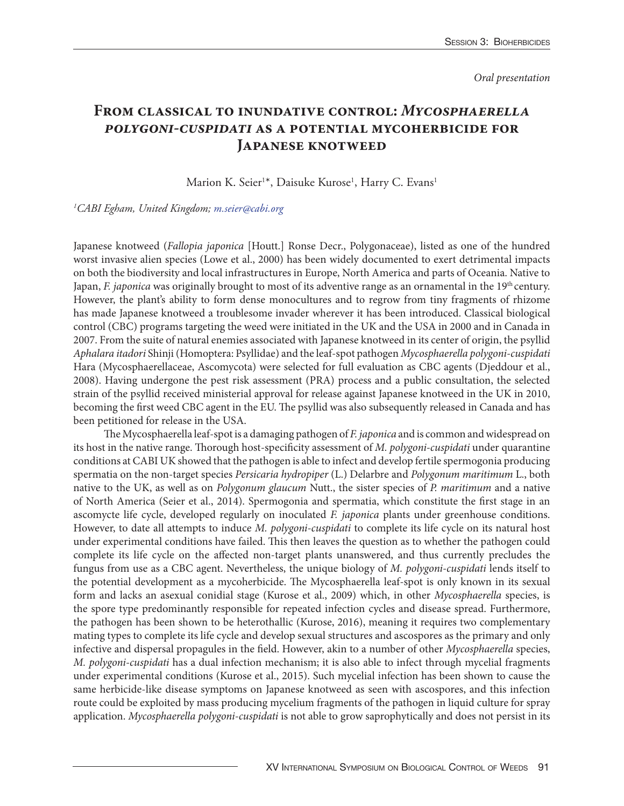*Oral presentation*

## **From classical to inundative control:** *Mycosphaerella polygoni-cuspidati* **as a potential mycoherbicide for Japanese knotweed**

Marion K. Seier<sup>1\*</sup>, Daisuke Kurose<sup>1</sup>, Harry C. Evans<sup>1</sup>

## *1 CABI Egham, United Kingdom; m.seier@cabi.org*

Japanese knotweed (*Fallopia japonica* [Houtt.] Ronse Decr., Polygonaceae), listed as one of the hundred worst invasive alien species (Lowe et al., 2000) has been widely documented to exert detrimental impacts on both the biodiversity and local infrastructures in Europe, North America and parts of Oceania. Native to Japan, *F. japonica* was originally brought to most of its adventive range as an ornamental in the 19<sup>th</sup> century. However, the plant's ability to form dense monocultures and to regrow from tiny fragments of rhizome has made Japanese knotweed a troublesome invader wherever it has been introduced. Classical biological control (CBC) programs targeting the weed were initiated in the UK and the USA in 2000 and in Canada in 2007. From the suite of natural enemies associated with Japanese knotweed in its center of origin, the psyllid *Aphalara itadori* Shinji (Homoptera: Psyllidae) and the leaf-spot pathogen *Mycosphaerella polygoni-cuspidati*  Hara (Mycosphaerellaceae, Ascomycota) were selected for full evaluation as CBC agents (Djeddour et al., 2008). Having undergone the pest risk assessment (PRA) process and a public consultation, the selected strain of the psyllid received ministerial approval for release against Japanese knotweed in the UK in 2010, becoming the first weed CBC agent in the EU. The psyllid was also subsequently released in Canada and has been petitioned for release in the USA.

The Mycosphaerella leaf-spot is a damaging pathogen of *F. japonica* and is common and widespread on its host in the native range. Thorough host-specificity assessment of *M. polygoni-cuspidati* under quarantine conditions at CABI UK showed that the pathogen is able to infect and develop fertile spermogonia producing spermatia on the non-target species *Persicaria hydropiper* (L.) Delarbre and *Polygonum maritimum* L., both native to the UK, as well as on *Polygonum glaucum* Nutt., the sister species of *P. maritimum* and a native of North America (Seier et al., 2014). Spermogonia and spermatia, which constitute the first stage in an ascomycte life cycle, developed regularly on inoculated *F. japonica* plants under greenhouse conditions. However, to date all attempts to induce *M. polygoni-cuspidati* to complete its life cycle on its natural host under experimental conditions have failed. This then leaves the question as to whether the pathogen could complete its life cycle on the affected non-target plants unanswered, and thus currently precludes the fungus from use as a CBC agent. Nevertheless, the unique biology of *M. polygoni-cuspidati* lends itself to the potential development as a mycoherbicide. The Mycosphaerella leaf-spot is only known in its sexual form and lacks an asexual conidial stage (Kurose et al., 2009) which, in other *Mycosphaerella* species, is the spore type predominantly responsible for repeated infection cycles and disease spread. Furthermore, the pathogen has been shown to be heterothallic (Kurose, 2016), meaning it requires two complementary mating types to complete its life cycle and develop sexual structures and ascospores as the primary and only infective and dispersal propagules in the field. However, akin to a number of other *Mycosphaerella* species, *M. polygoni-cuspidati* has a dual infection mechanism; it is also able to infect through mycelial fragments under experimental conditions (Kurose et al., 2015). Such mycelial infection has been shown to cause the same herbicide-like disease symptoms on Japanese knotweed as seen with ascospores, and this infection route could be exploited by mass producing mycelium fragments of the pathogen in liquid culture for spray application. *Mycosphaerella polygoni-cuspidati* is not able to grow saprophytically and does not persist in its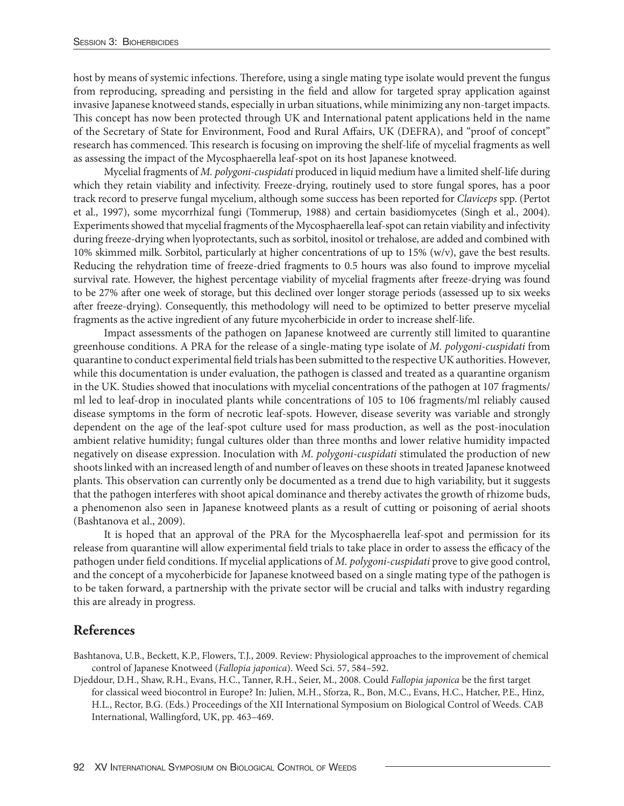host by means of systemic infections. Therefore, using a single mating type isolate would prevent the fungus from reproducing, spreading and persisting in the field and allow for targeted spray application against invasive Japanese knotweed stands, especially in urban situations, while minimizing any non-target impacts. This concept has now been protected through UK and International patent applications held in the name of the Secretary of State for Environment, Food and Rural Affairs, UK (DEFRA), and "proof of concept" research has commenced. This research is focusing on improving the shelf-life of mycelial fragments as well as assessing the impact of the Mycosphaerella leaf-spot on its host Japanese knotweed.

Mycelial fragments of *M. polygoni-cuspidati* produced in liquid medium have a limited shelf-life during which they retain viability and infectivity. Freeze-drying, routinely used to store fungal spores, has a poor track record to preserve fungal mycelium, although some success has been reported for *Claviceps* spp. (Pertot et al., 1997), some mycorrhizal fungi (Tommerup, 1988) and certain basidiomycetes (Singh et al., 2004). Experiments showed that mycelial fragments of the Mycosphaerella leaf-spot can retain viability and infectivity during freeze-drying when lyoprotectants, such as sorbitol, inositol or trehalose, are added and combined with 10% skimmed milk. Sorbitol, particularly at higher concentrations of up to 15% (w/v), gave the best results. Reducing the rehydration time of freeze-dried fragments to 0.5 hours was also found to improve mycelial survival rate. However, the highest percentage viability of mycelial fragments after freeze-drying was found to be 27% after one week of storage, but this declined over longer storage periods (assessed up to six weeks after freeze-drying). Consequently, this methodology will need to be optimized to better preserve mycelial fragments as the active ingredient of any future mycoherbicide in order to increase shelf-life.

Impact assessments of the pathogen on Japanese knotweed are currently still limited to quarantine greenhouse conditions. A PRA for the release of a single-mating type isolate of *M. polygoni-cuspidati* from quarantine to conduct experimental field trials has been submitted to the respective UK authorities. However, while this documentation is under evaluation, the pathogen is classed and treated as a quarantine organism in the UK. Studies showed that inoculations with mycelial concentrations of the pathogen at 107 fragments/ ml led to leaf-drop in inoculated plants while concentrations of 105 to 106 fragments/ml reliably caused disease symptoms in the form of necrotic leaf-spots. However, disease severity was variable and strongly dependent on the age of the leaf-spot culture used for mass production, as well as the post-inoculation ambient relative humidity; fungal cultures older than three months and lower relative humidity impacted negatively on disease expression. Inoculation with *M. polygoni-cuspidati* stimulated the production of new shoots linked with an increased length of and number of leaves on these shoots in treated Japanese knotweed plants. This observation can currently only be documented as a trend due to high variability, but it suggests that the pathogen interferes with shoot apical dominance and thereby activates the growth of rhizome buds, a phenomenon also seen in Japanese knotweed plants as a result of cutting or poisoning of aerial shoots (Bashtanova et al., 2009).

It is hoped that an approval of the PRA for the Mycosphaerella leaf-spot and permission for its release from quarantine will allow experimental field trials to take place in order to assess the efficacy of the pathogen under field conditions. If mycelial applications of *M. polygoni-cuspidati* prove to give good control, and the concept of a mycoherbicide for Japanese knotweed based on a single mating type of the pathogen is to be taken forward, a partnership with the private sector will be crucial and talks with industry regarding this are already in progress.

## **References**

- Bashtanova, U.B., Beckett, K.P., Flowers, T.J., 2009. Review: Physiological approaches to the improvement of chemical control of Japanese Knotweed (*Fallopia japonica*). Weed Sci. 57, 584–592.
- Djeddour, D.H., Shaw, R.H., Evans, H.C., Tanner, R.H., Seier, M., 2008. Could *Fallopia japonica* be the first target for classical weed biocontrol in Europe? In: Julien, M.H., Sforza, R., Bon, M.C., Evans, H.C., Hatcher, P.E., Hinz, H.L., Rector, B.G. (Eds.) Proceedings of the XII International Symposium on Biological Control of Weeds. CAB International, Wallingford, UK, pp. 463–469.